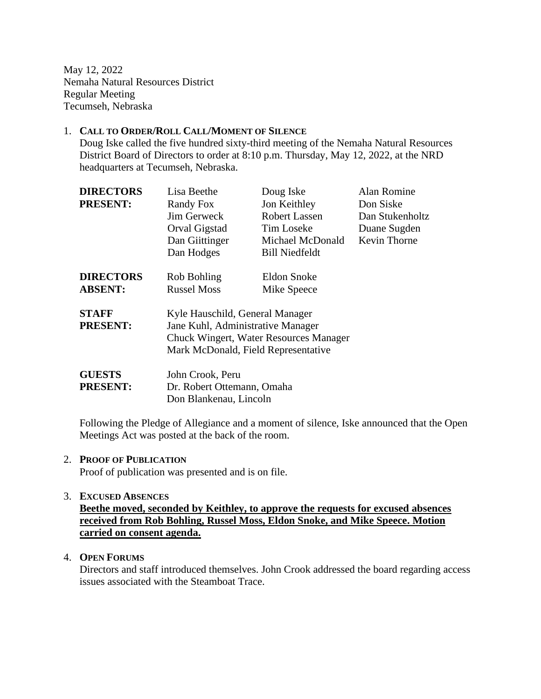May 12, 2022 Nemaha Natural Resources District Regular Meeting Tecumseh, Nebraska

#### 1. **CALL TO ORDER/ROLL CALL/MOMENT OF SILENCE**

Doug Iske called the five hundred sixty-third meeting of the Nemaha Natural Resources District Board of Directors to order at 8:10 p.m. Thursday, May 12, 2022, at the NRD headquarters at Tecumseh, Nebraska.

| <b>DIRECTORS</b> | Lisa Beethe                            | Doug Iske             | Alan Romine         |
|------------------|----------------------------------------|-----------------------|---------------------|
| <b>PRESENT:</b>  | Randy Fox                              | Jon Keithley          | Don Siske           |
|                  | Jim Gerweck                            | Robert Lassen         | Dan Stukenholtz     |
|                  | Orval Gigstad                          | Tim Loseke            | Duane Sugden        |
|                  | Dan Giittinger                         | Michael McDonald      | <b>Kevin Thorne</b> |
|                  | Dan Hodges                             | <b>Bill Niedfeldt</b> |                     |
| <b>DIRECTORS</b> | Rob Bohling                            | Eldon Snoke           |                     |
| <b>ABSENT:</b>   | <b>Russel Moss</b>                     | Mike Speece           |                     |
| <b>STAFF</b>     | Kyle Hauschild, General Manager        |                       |                     |
| <b>PRESENT:</b>  | Jane Kuhl, Administrative Manager      |                       |                     |
|                  | Chuck Wingert, Water Resources Manager |                       |                     |
|                  | Mark McDonald, Field Representative    |                       |                     |
| <b>GUESTS</b>    | John Crook, Peru                       |                       |                     |
| <b>PRESENT:</b>  | Dr. Robert Ottemann, Omaha             |                       |                     |
|                  | Don Blankenau, Lincoln                 |                       |                     |

Following the Pledge of Allegiance and a moment of silence, Iske announced that the Open Meetings Act was posted at the back of the room.

#### 2. **PROOF OF PUBLICATION**

Proof of publication was presented and is on file.

#### 3. **EXCUSED ABSENCES**

**Beethe moved, seconded by Keithley, to approve the requests for excused absences received from Rob Bohling, Russel Moss, Eldon Snoke, and Mike Speece. Motion carried on consent agenda.**

#### 4. **OPEN FORUMS**

Directors and staff introduced themselves. John Crook addressed the board regarding access issues associated with the Steamboat Trace.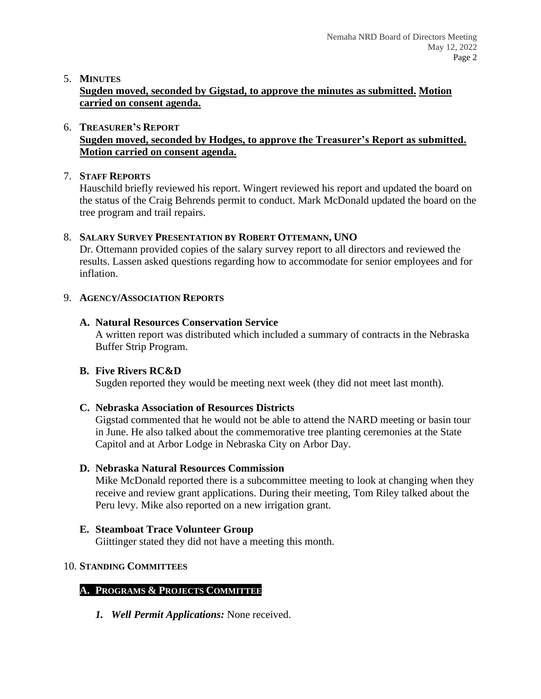### 5. **MINUTES**

**Sugden moved, seconded by Gigstad, to approve the minutes as submitted. Motion carried on consent agenda.**

#### 6. **TREASURER'S REPORT Sugden moved, seconded by Hodges, to approve the Treasurer's Report as submitted. Motion carried on consent agenda.**

### 7. **STAFF REPORTS**

Hauschild briefly reviewed his report. Wingert reviewed his report and updated the board on the status of the Craig Behrends permit to conduct. Mark McDonald updated the board on the tree program and trail repairs.

### 8. **SALARY SURVEY PRESENTATION BY ROBERT OTTEMANN, UNO**

Dr. Ottemann provided copies of the salary survey report to all directors and reviewed the results. Lassen asked questions regarding how to accommodate for senior employees and for inflation.

### 9. **AGENCY/ASSOCIATION REPORTS**

### **A. Natural Resources Conservation Service**

A written report was distributed which included a summary of contracts in the Nebraska Buffer Strip Program.

# **B. Five Rivers RC&D**

Sugden reported they would be meeting next week (they did not meet last month).

# **C. Nebraska Association of Resources Districts**

Gigstad commented that he would not be able to attend the NARD meeting or basin tour in June. He also talked about the commemorative tree planting ceremonies at the State Capitol and at Arbor Lodge in Nebraska City on Arbor Day.

# **D. Nebraska Natural Resources Commission**

Mike McDonald reported there is a subcommittee meeting to look at changing when they receive and review grant applications. During their meeting, Tom Riley talked about the Peru levy. Mike also reported on a new irrigation grant.

# **E. Steamboat Trace Volunteer Group**

Giittinger stated they did not have a meeting this month.

# 10. **STANDING COMMITTEES**

# **A. PROGRAMS & PROJECTS COMMITTEE**

*1. Well Permit Applications:* None received.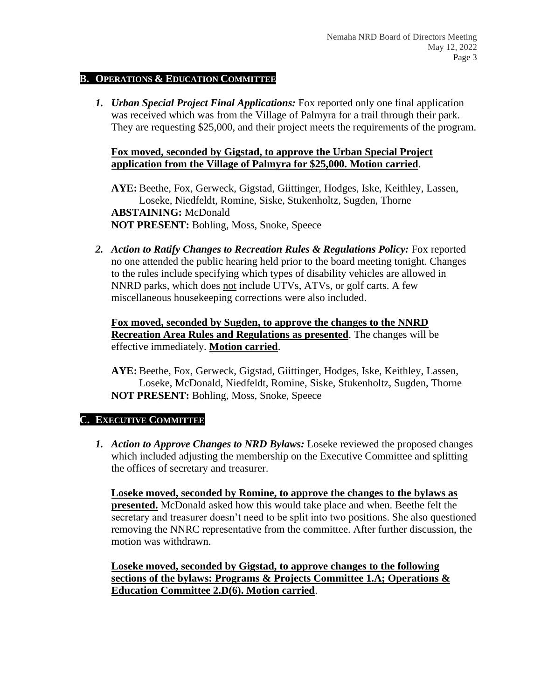#### **B. OPERATIONS & EDUCATION COMMITTEE**

*1. Urban Special Project Final Applications:* Fox reported only one final application was received which was from the Village of Palmyra for a trail through their park. They are requesting \$25,000, and their project meets the requirements of the program.

#### **Fox moved, seconded by Gigstad, to approve the Urban Special Project application from the Village of Palmyra for \$25,000. Motion carried**.

**AYE:** Beethe, Fox, Gerweck, Gigstad, Giittinger, Hodges, Iske, Keithley, Lassen, Loseke, Niedfeldt, Romine, Siske, Stukenholtz, Sugden, Thorne **ABSTAINING:** McDonald **NOT PRESENT:** Bohling, Moss, Snoke, Speece

**2.** *Action to Ratify Changes to Recreation Rules & Regulations Policy:* Fox reported no one attended the public hearing held prior to the board meeting tonight. Changes to the rules include specifying which types of disability vehicles are allowed in NNRD parks, which does not include UTVs, ATVs, or golf carts. A few miscellaneous housekeeping corrections were also included.

**Fox moved, seconded by Sugden, to approve the changes to the NNRD Recreation Area Rules and Regulations as presented**. The changes will be effective immediately. **Motion carried**.

**AYE:** Beethe, Fox, Gerweck, Gigstad, Giittinger, Hodges, Iske, Keithley, Lassen, Loseke, McDonald, Niedfeldt, Romine, Siske, Stukenholtz, Sugden, Thorne **NOT PRESENT:** Bohling, Moss, Snoke, Speece

#### **C. EXECUTIVE COMMITTEE**

*1. Action to Approve Changes to NRD Bylaws:* Loseke reviewed the proposed changes which included adjusting the membership on the Executive Committee and splitting the offices of secretary and treasurer.

**Loseke moved, seconded by Romine, to approve the changes to the bylaws as presented.** McDonald asked how this would take place and when. Beethe felt the secretary and treasurer doesn't need to be split into two positions. She also questioned removing the NNRC representative from the committee. After further discussion, the motion was withdrawn.

**Loseke moved, seconded by Gigstad, to approve changes to the following sections of the bylaws: Programs & Projects Committee 1.A; Operations & Education Committee 2.D(6). Motion carried**.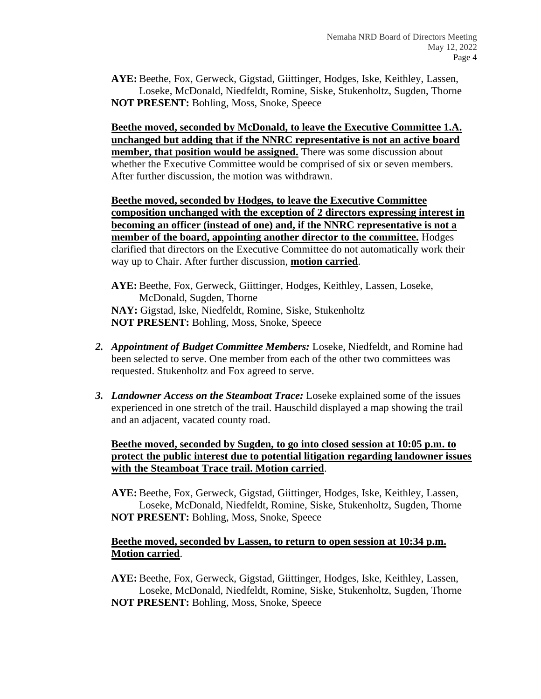**AYE:** Beethe, Fox, Gerweck, Gigstad, Giittinger, Hodges, Iske, Keithley, Lassen, Loseke, McDonald, Niedfeldt, Romine, Siske, Stukenholtz, Sugden, Thorne **NOT PRESENT:** Bohling, Moss, Snoke, Speece

**Beethe moved, seconded by McDonald, to leave the Executive Committee 1.A. unchanged but adding that if the NNRC representative is not an active board member, that position would be assigned.** There was some discussion about whether the Executive Committee would be comprised of six or seven members. After further discussion, the motion was withdrawn.

**Beethe moved, seconded by Hodges, to leave the Executive Committee composition unchanged with the exception of 2 directors expressing interest in becoming an officer (instead of one) and, if the NNRC representative is not a member of the board, appointing another director to the committee.** Hodges clarified that directors on the Executive Committee do not automatically work their way up to Chair. After further discussion, **motion carried**.

**AYE:** Beethe, Fox, Gerweck, Giittinger, Hodges, Keithley, Lassen, Loseke, McDonald, Sugden, Thorne **NAY:** Gigstad, Iske, Niedfeldt, Romine, Siske, Stukenholtz **NOT PRESENT:** Bohling, Moss, Snoke, Speece

- *2. Appointment of Budget Committee Members:* Loseke, Niedfeldt, and Romine had been selected to serve. One member from each of the other two committees was requested. Stukenholtz and Fox agreed to serve.
- *3. Landowner Access on the Steamboat Trace:* Loseke explained some of the issues experienced in one stretch of the trail. Hauschild displayed a map showing the trail and an adjacent, vacated county road.

**Beethe moved, seconded by Sugden, to go into closed session at 10:05 p.m. to protect the public interest due to potential litigation regarding landowner issues with the Steamboat Trace trail. Motion carried**.

**AYE:** Beethe, Fox, Gerweck, Gigstad, Giittinger, Hodges, Iske, Keithley, Lassen, Loseke, McDonald, Niedfeldt, Romine, Siske, Stukenholtz, Sugden, Thorne **NOT PRESENT:** Bohling, Moss, Snoke, Speece

#### **Beethe moved, seconded by Lassen, to return to open session at 10:34 p.m. Motion carried**.

**AYE:** Beethe, Fox, Gerweck, Gigstad, Giittinger, Hodges, Iske, Keithley, Lassen, Loseke, McDonald, Niedfeldt, Romine, Siske, Stukenholtz, Sugden, Thorne **NOT PRESENT:** Bohling, Moss, Snoke, Speece